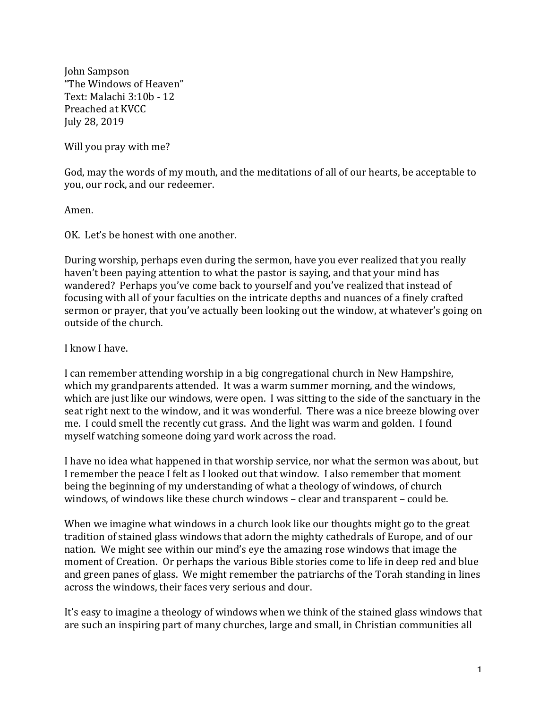John Sampson "The Windows of Heaven" Text: Malachi 3:10b - 12 Preached at KVCC July 28, 2019

Will you pray with me?

God, may the words of my mouth, and the meditations of all of our hearts, be acceptable to you, our rock, and our redeemer.

Amen.

OK. Let's be honest with one another.

During worship, perhaps even during the sermon, have you ever realized that you really haven't been paying attention to what the pastor is saying, and that your mind has wandered? Perhaps you've come back to yourself and you've realized that instead of focusing with all of your faculties on the intricate depths and nuances of a finely crafted sermon or prayer, that you've actually been looking out the window, at whatever's going on outside of the church.

I know I have.

I can remember attending worship in a big congregational church in New Hampshire, which my grandparents attended. It was a warm summer morning, and the windows, which are just like our windows, were open. I was sitting to the side of the sanctuary in the seat right next to the window, and it was wonderful. There was a nice breeze blowing over me. I could smell the recently cut grass. And the light was warm and golden. I found myself watching someone doing yard work across the road.

I have no idea what happened in that worship service, nor what the sermon was about, but I remember the peace I felt as I looked out that window. I also remember that moment being the beginning of my understanding of what a theology of windows, of church windows, of windows like these church windows - clear and transparent - could be.

When we imagine what windows in a church look like our thoughts might go to the great tradition of stained glass windows that adorn the mighty cathedrals of Europe, and of our nation. We might see within our mind's eye the amazing rose windows that image the moment of Creation. Or perhaps the various Bible stories come to life in deep red and blue and green panes of glass. We might remember the patriarchs of the Torah standing in lines across the windows, their faces very serious and dour.

It's easy to imagine a theology of windows when we think of the stained glass windows that are such an inspiring part of many churches, large and small, in Christian communities all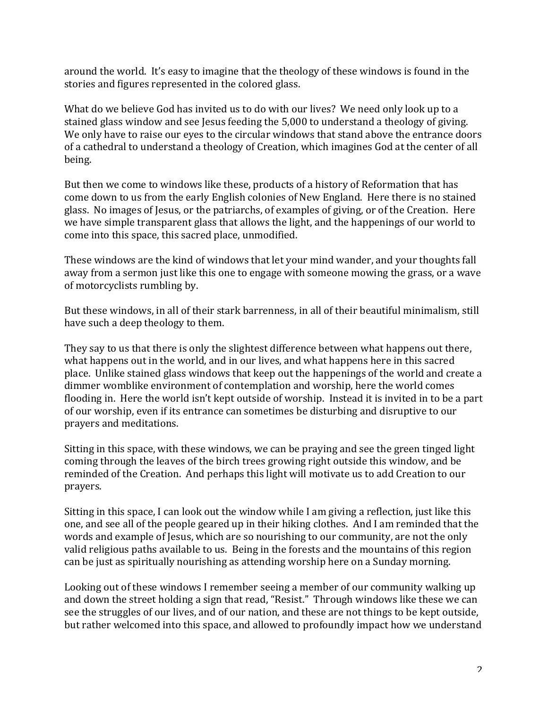around the world. It's easy to imagine that the theology of these windows is found in the stories and figures represented in the colored glass.

What do we believe God has invited us to do with our lives? We need only look up to a stained glass window and see Jesus feeding the 5,000 to understand a theology of giving. We only have to raise our eyes to the circular windows that stand above the entrance doors of a cathedral to understand a theology of Creation, which imagines God at the center of all being.

But then we come to windows like these, products of a history of Reformation that has come down to us from the early English colonies of New England. Here there is no stained glass. No images of Jesus, or the patriarchs, of examples of giving, or of the Creation. Here we have simple transparent glass that allows the light, and the happenings of our world to come into this space, this sacred place, unmodified.

These windows are the kind of windows that let your mind wander, and your thoughts fall away from a sermon just like this one to engage with someone mowing the grass, or a wave of motorcyclists rumbling by.

But these windows, in all of their stark barrenness, in all of their beautiful minimalism, still have such a deep theology to them.

They say to us that there is only the slightest difference between what happens out there, what happens out in the world, and in our lives, and what happens here in this sacred place. Unlike stained glass windows that keep out the happenings of the world and create a dimmer womblike environment of contemplation and worship, here the world comes flooding in. Here the world isn't kept outside of worship. Instead it is invited in to be a part of our worship, even if its entrance can sometimes be disturbing and disruptive to our prayers and meditations.

Sitting in this space, with these windows, we can be praying and see the green tinged light coming through the leaves of the birch trees growing right outside this window, and be reminded of the Creation. And perhaps this light will motivate us to add Creation to our prayers.

Sitting in this space, I can look out the window while I am giving a reflection, just like this one, and see all of the people geared up in their hiking clothes. And I am reminded that the words and example of Jesus, which are so nourishing to our community, are not the only valid religious paths available to us. Being in the forests and the mountains of this region can be just as spiritually nourishing as attending worship here on a Sunday morning.

Looking out of these windows I remember seeing a member of our community walking up and down the street holding a sign that read, "Resist." Through windows like these we can see the struggles of our lives, and of our nation, and these are not things to be kept outside, but rather welcomed into this space, and allowed to profoundly impact how we understand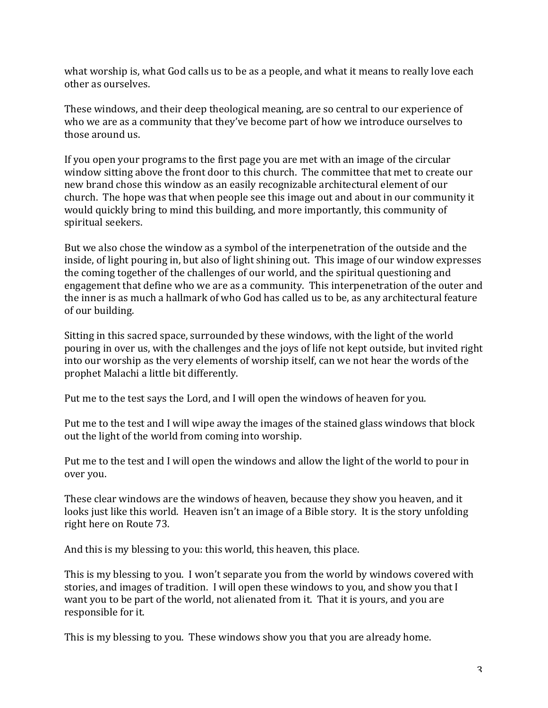what worship is, what God calls us to be as a people, and what it means to really love each other as ourselves.

These windows, and their deep theological meaning, are so central to our experience of who we are as a community that they've become part of how we introduce ourselves to those around us.

If you open your programs to the first page you are met with an image of the circular window sitting above the front door to this church. The committee that met to create our new brand chose this window as an easily recognizable architectural element of our church. The hope was that when people see this image out and about in our community it would quickly bring to mind this building, and more importantly, this community of spiritual seekers.

But we also chose the window as a symbol of the interpenetration of the outside and the inside, of light pouring in, but also of light shining out. This image of our window expresses the coming together of the challenges of our world, and the spiritual questioning and engagement that define who we are as a community. This interpenetration of the outer and the inner is as much a hallmark of who God has called us to be, as any architectural feature of our building.

Sitting in this sacred space, surrounded by these windows, with the light of the world pouring in over us, with the challenges and the joys of life not kept outside, but invited right into our worship as the very elements of worship itself, can we not hear the words of the prophet Malachi a little bit differently.

Put me to the test says the Lord, and I will open the windows of heaven for you.

Put me to the test and I will wipe away the images of the stained glass windows that block out the light of the world from coming into worship.

Put me to the test and I will open the windows and allow the light of the world to pour in over you.

These clear windows are the windows of heaven, because they show you heaven, and it looks just like this world. Heaven isn't an image of a Bible story. It is the story unfolding right here on Route 73.

And this is my blessing to you: this world, this heaven, this place.

This is my blessing to you. I won't separate you from the world by windows covered with stories, and images of tradition. I will open these windows to you, and show you that I want you to be part of the world, not alienated from it. That it is yours, and you are responsible for it.

This is my blessing to you. These windows show you that you are already home.